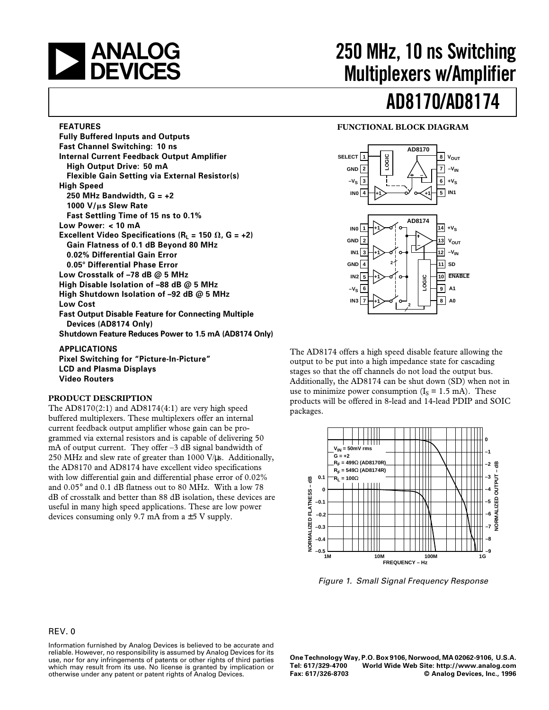# **EXAMALOG**<br>DEVICES

#### **FEATURES**

**Fully Buffered Inputs and Outputs Fast Channel Switching: 10 ns Internal Current Feedback Output Amplifier High Output Drive: 50 mA Flexible Gain Setting via External Resistor(s) High Speed 250 MHz Bandwidth, G = +2 1000 V/**m**s Slew Rate Fast Settling Time of 15 ns to 0.1% Low Power: < 10 mA Excellent Video Specifications (** $R_L$  **= 150**  $\Omega$ **, G = +2) Gain Flatness of 0.1 dB Beyond 80 MHz 0.02% Differential Gain Error 0.05**8 **Differential Phase Error Low Crosstalk of –78 dB @ 5 MHz High Disable Isolation of –88 dB @ 5 MHz High Shutdown Isolation of –92 dB @ 5 MHz Low Cost Fast Output Disable Feature for Connecting Multiple Devices (AD8174 Only) Shutdown Feature Reduces Power to 1.5 mA (AD8174 Only) APPLICATIONS**

**Pixel Switching for "Picture-In-Picture" LCD and Plasma Displays Video Routers**

#### **PRODUCT DESCRIPTION**

The AD8170(2:1) and AD8174(4:1) are very high speed buffered multiplexers. These multiplexers offer an internal current feedback output amplifier whose gain can be programmed via external resistors and is capable of delivering 50 mA of output current. They offer –3 dB signal bandwidth of 250 MHz and slew rate of greater than 1000 V/ $\mu$ s. Additionally, the AD8170 and AD8174 have excellent video specifications with low differential gain and differential phase error of 0.02% and 0.05° and 0.1 dB flatness out to 80 MHz. With a low 78 dB of crosstalk and better than 88 dB isolation, these devices are useful in many high speed applications. These are low power devices consuming only 9.7 mA from  $a \pm 5$  V supply.

# **250 MHz, 10 ns Switching Multiplexers w/Amplifier**

# **AD8170/AD8174**

#### **FUNCTIONAL BLOCK DIAGRAM**



The AD8174 offers a high speed disable feature allowing the output to be put into a high impedance state for cascading stages so that the off channels do not load the output bus. Additionally, the AD8174 can be shut down (SD) when not in use to minimize power consumption  $(I_s = 1.5 \text{ mA})$ . These products will be offered in 8-lead and 14-lead PDIP and SOIC packages.



Figure 1. Small Signal Frequency Response

#### REV. 0

Information furnished by Analog Devices is believed to be accurate and reliable. However, no responsibility is assumed by Analog Devices for its use, nor for any infringements of patents or other rights of third parties which may result from its use. No license is granted by implication or otherwise under any patent or patent rights of Analog Devices.

**One Technology Way, P.O. Box 9106, Norwood, MA 02062-9106, U.S.A. Tel: 617/329-4700 World Wide Web Site: http://www.analog.com**  $©$  Analog Devices, Inc., 1996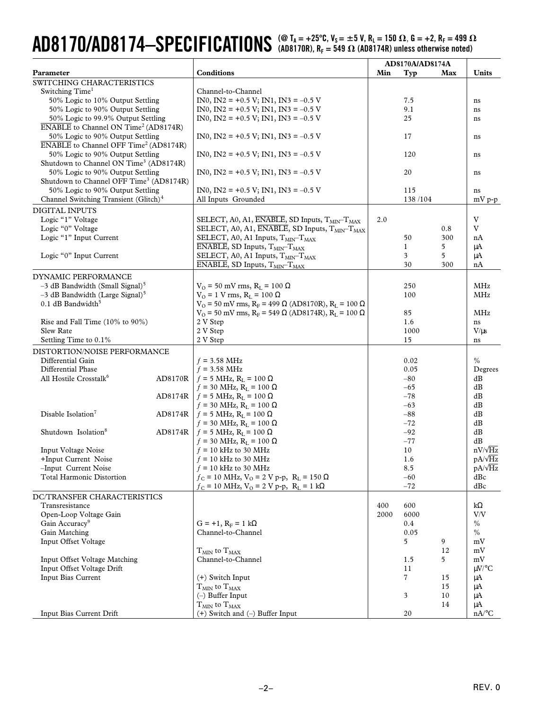# $\bf{AD8170}$ / $\bf{AD8174}$ — $\bf{SPECIFICATIONS}$  (@ T<sub>A</sub> = +25°C, V<sub>S</sub> = ±5 V, R<sub>L</sub> = 150  $\Omega$ , G = +2, R<sub>F</sub> = 499  $\Omega$

|                                                                                         |         |                                                                                                                    | AD8170A/AD8174A |              |          |                     |
|-----------------------------------------------------------------------------------------|---------|--------------------------------------------------------------------------------------------------------------------|-----------------|--------------|----------|---------------------|
| Parameter                                                                               |         | <b>Conditions</b>                                                                                                  | Min             | Typ          | Max      | Units               |
| SWITCHING CHARACTERISTICS                                                               |         |                                                                                                                    |                 |              |          |                     |
| Switching Time <sup>1</sup>                                                             |         | Channel-to-Channel                                                                                                 |                 |              |          |                     |
| 50% Logic to 10% Output Settling                                                        |         | IN0, IN2 = +0.5 V; IN1, IN3 = -0.5 V                                                                               |                 | 7.5          |          | ns                  |
| 50% Logic to 90% Output Settling                                                        |         | $IN0$ , $IN2 = +0.5 V$ ; $IN1$ , $IN3 = -0.5 V$                                                                    |                 | 9.1          |          | ns                  |
| 50% Logic to 99.9% Output Settling                                                      |         | IN0, IN2 = +0.5 V; IN1, IN3 = -0.5 V                                                                               |                 | 25           |          | ns                  |
| ENABLE to Channel ON Time <sup>2</sup> (AD8174R)                                        |         |                                                                                                                    |                 |              |          |                     |
| 50% Logic to 90% Output Settling                                                        |         | IN0, IN2 = +0.5 V; IN1, IN3 = -0.5 V                                                                               |                 | 17           |          | ns                  |
| <b>ENABLE</b> to Channel OFF Time <sup>2</sup> (AD8174R)                                |         |                                                                                                                    |                 |              |          |                     |
| 50% Logic to 90% Output Settling                                                        |         | $IN0$ , $IN2 = +0.5 V$ ; $IN1$ , $IN3 = -0.5 V$                                                                    |                 | 120          |          | ns                  |
| Shutdown to Channel ON Time <sup>3</sup> (AD8174R)                                      |         |                                                                                                                    |                 |              |          |                     |
| 50% Logic to 90% Output Settling<br>Shutdown to Channel OFF Time <sup>3</sup> (AD8174R) |         | $IN0$ , $IN2 = +0.5 V$ ; $IN1$ , $IN3 = -0.5 V$                                                                    |                 | 20           |          | ns                  |
| 50% Logic to 90% Output Settling                                                        |         | $IN0$ , $IN2 = +0.5 V$ ; $IN1$ , $IN3 = -0.5 V$                                                                    |                 | 115          |          |                     |
| Channel Switching Transient (Glitch) <sup>4</sup>                                       |         | All Inputs Grounded                                                                                                |                 | 138/104      |          | ns                  |
|                                                                                         |         |                                                                                                                    |                 |              |          | $mV p-p$            |
| <b>DIGITAL INPUTS</b>                                                                   |         |                                                                                                                    |                 |              |          |                     |
| Logic "1" Voltage                                                                       |         | SELECT, A0, A1, ENABLE, SD Inputs, T <sub>MIN</sub> -T <sub>MAX</sub>                                              | 2.0             |              |          | V                   |
| Logic "0" Voltage                                                                       |         | SELECT, A0, A1, ENABLE, SD Inputs, T <sub>MIN</sub> -T <sub>MAX</sub>                                              |                 |              | 0.8      | V                   |
| Logic "1" Input Current                                                                 |         | SELECT, A0, A1 Inputs, T <sub>MIN</sub> -T <sub>MAX</sub>                                                          |                 | 50           | 300      | nA                  |
| Logic "0" Input Current                                                                 |         | ENABLE, SD Inputs, T <sub>MIN</sub> -T <sub>MAX</sub><br>SELECT, A0, A1 Inputs, T <sub>MIN</sub> -T <sub>MAX</sub> |                 | 1<br>3       | 5<br>5   | μA                  |
|                                                                                         |         | ENABLE, SD Inputs, T <sub>MIN</sub> -T <sub>MAX</sub>                                                              |                 | 30           | 300      | μA<br>nA            |
|                                                                                         |         |                                                                                                                    |                 |              |          |                     |
| DYNAMIC PERFORMANCE                                                                     |         |                                                                                                                    |                 |              |          |                     |
| $-3$ dB Bandwidth (Small Signal) <sup>5</sup>                                           |         | $V_O = 50$ mV rms, $R_L = 100 \Omega$                                                                              |                 | 250          |          | <b>MHz</b>          |
| $-3$ dB Bandwidth (Large Signal) <sup>5</sup>                                           |         | $V_O$ = 1 V rms, R <sub>L</sub> = 100 Ω                                                                            |                 | 100          |          | MHz                 |
| $0.1$ dB Bandwidth <sup>5</sup>                                                         |         | $V_O$ = 50 mV rms, R <sub>F</sub> = 499 Ω (AD8170R), R <sub>L</sub> = 100 Ω                                        |                 |              |          |                     |
|                                                                                         |         | $V_0$ = 50 mV rms, R <sub>F</sub> = 549 Ω (AD8174R), R <sub>L</sub> = 100 Ω                                        |                 | 85           |          | MHz                 |
| Rise and Fall Time (10% to 90%)<br>Slew Rate                                            |         | 2 V Step                                                                                                           |                 | 1.6          |          | ns                  |
| Settling Time to 0.1%                                                                   |         | 2 V Step<br>2 V Step                                                                                               |                 | 1000<br>15   |          | $V/\mu s$<br>ns     |
|                                                                                         |         |                                                                                                                    |                 |              |          |                     |
| DISTORTION/NOISE PERFORMANCE<br>Differential Gain                                       |         |                                                                                                                    |                 |              |          | $\frac{0}{0}$       |
| Differential Phase                                                                      |         | $f = 3.58 \text{ MHz}$<br>$f = 3.58 \text{ MHz}$                                                                   |                 | 0.02<br>0.05 |          | Degrees             |
| All Hostile Crosstalk <sup>6</sup>                                                      | AD8170R | $f = 5$ MHz, $R_L = 100 \Omega$                                                                                    |                 | $-80$        |          | dB                  |
|                                                                                         |         | $f = 30$ MHz, $R_L = 100 \Omega$                                                                                   |                 | $-65$        |          | dB                  |
|                                                                                         | AD8174R | $f = 5$ MHz, $R_L = 100 \Omega$                                                                                    |                 | $-78$        |          | dB                  |
|                                                                                         |         | $f = 30$ MHz, R <sub>L</sub> = 100 Ω                                                                               |                 | $-63$        |          | dB                  |
| Disable Isolation <sup>7</sup>                                                          | AD8174R | $f = 5$ MHz, $R_L = 100 \Omega$                                                                                    |                 | $-88$        |          | dB                  |
|                                                                                         |         | $f = 30$ MHz, $R_L = 100 \Omega$                                                                                   |                 | $-72$        |          | dB                  |
| Shutdown Isolation <sup>8</sup>                                                         | AD8174R | $f = 5$ MHz, $R_L = 100 \Omega$                                                                                    |                 | $-92$        |          | dB                  |
|                                                                                         |         | $f = 30$ MHz, $R_L = 100 \Omega$                                                                                   |                 | $-77$        |          | dB                  |
| <b>Input Voltage Noise</b>                                                              |         | $f = 10$ kHz to 30 MHz                                                                                             |                 | 10           |          | $nV/\sqrt{Hz}$      |
| +Input Current Noise                                                                    |         | $f = 10$ kHz to 30 MHz                                                                                             |                 | 1.6          |          | $pA/\sqrt{Hz}$      |
| -Input Current Noise                                                                    |         | $f = 10$ kHz to 30 MHz                                                                                             |                 | 8.5          |          | $pA/\sqrt{Hz}$      |
| <b>Total Harmonic Distortion</b>                                                        |         | $f_C = 10$ MHz, $V_O = 2$ V p-p, $R_L = 150$ $\Omega$                                                              |                 | $-60$        |          | dBc                 |
|                                                                                         |         | $f_C = 10$ MHz, $V_O = 2$ V p-p, $R_L = 1$ k $\Omega$                                                              |                 | $-72$        |          | dBc                 |
| DC/TRANSFER CHARACTERISTICS                                                             |         |                                                                                                                    |                 |              |          |                     |
| Transresistance                                                                         |         |                                                                                                                    | 400             | 600          |          | $k\Omega$           |
| Open-Loop Voltage Gain                                                                  |         |                                                                                                                    | 2000            | 6000         |          | V/V                 |
| Gain Accuracy <sup>9</sup>                                                              |         | $G = +1$ , $R_F = 1$ kΩ                                                                                            |                 | 0.4          |          | $\%$                |
| Gain Matching                                                                           |         | Channel-to-Channel                                                                                                 |                 | 0.05         |          | $\%$                |
| Input Offset Voltage                                                                    |         |                                                                                                                    |                 | 5            | 9        | mV                  |
|                                                                                         |         | $T_{MIN}$ to $T_{MAX}$                                                                                             |                 |              | 12       | mV                  |
| Input Offset Voltage Matching                                                           |         | Channel-to-Channel                                                                                                 |                 | 1.5          | 5        | mV                  |
| Input Offset Voltage Drift                                                              |         |                                                                                                                    |                 | 11<br>7      |          | $\mu$ V/°C          |
| Input Bias Current                                                                      |         | (+) Switch Input                                                                                                   |                 |              | 15<br>15 | μA<br>μA            |
|                                                                                         |         | $T_{MIN}$ to $T_{MAX}$<br>$(-)$ Buffer Input                                                                       |                 | 3            | 10       | μA                  |
|                                                                                         |         | $T_{MIN}$ to $T_{MAX}$                                                                                             |                 |              | 14       | μA                  |
| Input Bias Current Drift                                                                |         | (+) Switch and (-) Buffer Input                                                                                    |                 | 20           |          | $nA$ <sup>o</sup> C |
|                                                                                         |         |                                                                                                                    |                 |              |          |                     |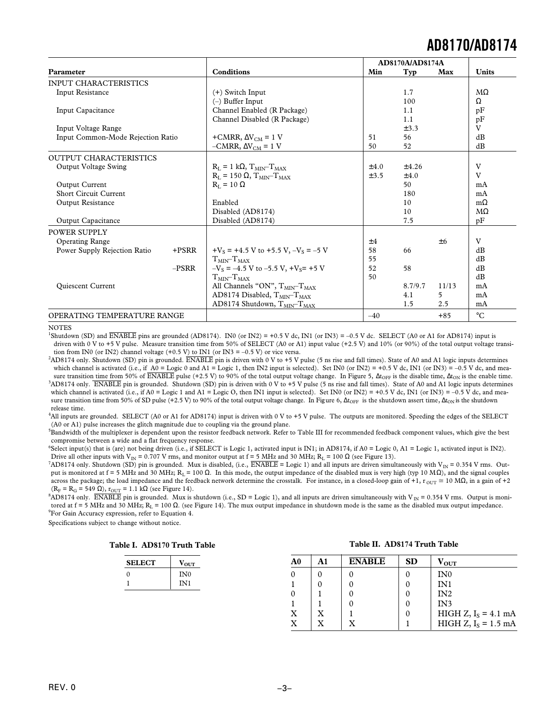|                                   |          |                                            |           | AD8170A/AD8174A |       |                 |  |
|-----------------------------------|----------|--------------------------------------------|-----------|-----------------|-------|-----------------|--|
| <b>Parameter</b>                  |          | <b>Conditions</b>                          | Min       | Typ             | Max   | <b>Units</b>    |  |
| <b>INPUT CHARACTERISTICS</b>      |          |                                            |           |                 |       |                 |  |
| Input Resistance                  |          | $(+)$ Switch Input                         |           | 1.7             |       | $M\Omega$       |  |
|                                   |          | $(-)$ Buffer Input                         |           | 100             |       | Ω               |  |
| Input Capacitance                 |          | Channel Enabled (R Package)                |           | 1.1             |       | pF              |  |
|                                   |          | Channel Disabled (R Package)               |           | 1.1             |       | pF              |  |
| Input Voltage Range               |          |                                            |           | ±3.3            |       | V               |  |
| Input Common-Mode Rejection Ratio |          | +CMRR, $\Delta V_{CM}$ = 1 V               | 51        | 56              |       | dB              |  |
|                                   |          | $-CMRR$ , $\Delta V_{CM} = 1$ V            | 50        | 52              |       | dB              |  |
| <b>OUTPUT CHARACTERISTICS</b>     |          |                                            |           |                 |       |                 |  |
| <b>Output Voltage Swing</b>       |          | $R_I = 1 k\Omega$ , $T_{MIN} - T_{MAX}$    | $\pm 4.0$ | ±4.26           |       | V               |  |
|                                   |          | $R_I = 150 \Omega$ , $T_{MIN}$ $T_{MAX}$   | ±3.5      | $\pm 4.0$       |       | V               |  |
| Output Current                    |          | $R_{I} = 10 \Omega$                        |           | 50              |       | mA              |  |
| <b>Short Circuit Current</b>      |          |                                            |           | 180             |       | mA              |  |
| Output Resistance                 |          | Enabled                                    |           | 10              |       | $m\Omega$       |  |
|                                   |          | Disabled (AD8174)                          |           | 10              |       | $M\Omega$       |  |
| <b>Output Capacitance</b>         |          | Disabled (AD8174)                          |           | 7.5             |       | pF              |  |
| POWER SUPPLY                      |          |                                            |           |                 |       |                 |  |
| <b>Operating Range</b>            |          |                                            | ±4        |                 | ±6    | V               |  |
| Power Supply Rejection Ratio      | $+ PSRR$ | $+V_s = +4.5$ V to +5.5 V, $-V_s = -5$ V   | 58        | 66              |       | dB              |  |
|                                   |          | $TMIN-TMAX$                                | 55        |                 |       | dB              |  |
|                                   | $-PSRR$  | $-V_s = -4.5$ V to $-5.5$ V, $+V_s = +5$ V | 52        | 58              |       | dB              |  |
|                                   |          | $TMIN-TMAX$                                | 50        |                 |       | dB              |  |
| <b>Quiescent Current</b>          |          | All Channels "ON", $T_{MIN}$ - $T_{MAX}$   |           | 8.7/9.7         | 11/13 | mA              |  |
|                                   |          | AD8174 Disabled, TMIN-TMAX                 |           | 4.1             | 5     | mA              |  |
|                                   |          | AD8174 Shutdown, TMIN-TMAX                 |           | 1.5             | 2.5   | mA              |  |
| OPERATING TEMPERATURE RANGE       |          |                                            | $-40$     |                 | $+85$ | $\rm ^{\circ}C$ |  |

#### **NOTES**

<sup>1</sup>Shutdown (SD) and  $\overline{ENABLE}$  pins are grounded (AD8174). IN0 (or IN2) = +0.5 V dc, IN1 (or IN3) = -0.5 V dc. SELECT (A0 or A1 for AD8174) input is driven with 0 V to +5 V pulse. Measure transition time from 50% of SELECT (A0 or A1) input value (+2.5 V) and 10% (or 90%) of the total output voltage transition from IN0 (or IN2) channel voltage  $(+0.5 \text{ V})$  to IN1 (or IN3 = -0.5 V) or vice versa.

 ${}^{2}\text{AD8174}$  only. Shutdown (SD) pin is grounded.  $\overline{\text{ENABLE}}$  pin is driven with 0 V to +5 V pulse (5 ns rise and fall times). State of A0 and A1 logic inputs determines which channel is activated (i.e., if A0 = Logic 0 and A1 = Logic 1, then IN2 input is selected). Set IN0 (or IN2) = +0.5 V dc, IN1 (or IN3) = -0.5 V dc, and measure transition time from 50% of ENABLE pulse (+2.5 V) to 90% of the total output voltage change. In Figure 5,  $\Delta t_{\text{OFF}}$  is the disable time,  $\Delta t_{\text{ON}}$  is the enable time. <sup>3</sup>AD8174 only. ENABLE pin is grounded. Shutdown (SD) pin is driven with 0 V to +5 V pulse (5 ns rise and fall times). State of A0 and A1 logic inputs determines which channel is activated (i.e., if A0 = Logic 1 and A1 = Logic O, then IN1 input is selected). Set IN0 (or IN2) = +0.5 V dc, IN1 (or IN3) = -0.5 V dc, and measure transition time from 50% of SD pulse (+2.5 V) to 90% of the total output voltage change. In Figure 6,  $\Delta t_{OFF}$  is the shutdown assert time,  $\Delta t_{ON}$  is the shutdown release time.

4 All inputs are grounded. SELECT (A0 or A1 for AD8174) input is driven with 0 V to +5 V pulse. The outputs are monitored. Speeding the edges of the SELECT (A0 or A1) pulse increases the glitch magnitude due to coupling via the ground plane.

<sup>5</sup>Bandwidth of the multiplexer is dependent upon the resistor feedback network. Refer to Table III for recommended feedback component values, which give the best compromise between a wide and a flat frequency response.

<sup>6</sup>Select input(s) that is (are) not being driven (i.e., if SELECT is Logic 1, activated input is IN1; in AD8174, if A0 = Logic 0, A1 = Logic 1, activated input is IN2). Drive all other inputs with  $V_{IN} = 0.707 V$  rms, and monitor output at f = 5 MHz and 30 MHz; R<sub>L</sub> = 100  $\Omega$  (see Figure 13).

 $^{7}\text{AD8174}$  only. Shutdown (SD) pin is grounded. Mux is disabled, (i.e.,  $\overline{\text{ENABLE}}$  = Logic 1) and all inputs are driven simultaneously with V<sub>IN</sub> = 0.354 V rms. Output is monitored at f = 5 MHz and 30 MHz; R<sub>L</sub> = 100 Ω. In this mode, the output impedance of the disabled mux is very high (typ 10 MΩ), and the signal couples across the package; the load impedance and the feedback network determine the crosstalk. For instance, in a closed-loop gain of +1,  $r_{\text{OUT}} \approx 10 \text{ M}\Omega$ , in a gain of +2 ( $R_F = R_G = 549 \Omega$ ),  $r_{OUT} = 1.1 \text{ k}\Omega$  (see Figure 14).

 $8AD8174$  only. ENABLE pin is grounded. Mux is shutdown (i.e., SD = Logic 1), and all inputs are driven simultaneously with V<sub>IN</sub> = 0.354 V rms. Output is monitored at f = 5 MHz and 30 MHz; R<sub>L</sub> = 100 Ω. (see Figure 14). The mux output impedance in shutdown mode is the same as the disabled mux output impedance. 9 For Gain Accuracy expression, refer to Equation 4.

Specifications subject to change without notice.

| Table I. AD8170 Truth Table |  |  |  |  |
|-----------------------------|--|--|--|--|
|-----------------------------|--|--|--|--|

| <b>SELECT</b> | $V_{\text{OUT}}$ |
|---------------|------------------|
| ∩             | IN <sub>0</sub>  |
|               | IN1              |

#### **Table II. AD8174 Truth Table**

| A <sub>0</sub>            | A1 | <b>ENABLE</b> | <b>SD</b> | $\rm v_{\rm out}$      |
|---------------------------|----|---------------|-----------|------------------------|
|                           |    |               |           | IN <sub>0</sub>        |
|                           |    |               |           | IN1                    |
| 0                         |    |               |           | IN2                    |
|                           |    |               |           | IN3                    |
| $\boldsymbol{\mathrm{X}}$ |    |               |           | HIGH Z, $I_s = 4.1$ mA |
| X                         |    |               |           | $HIGH Z, IS = 1.5 mA$  |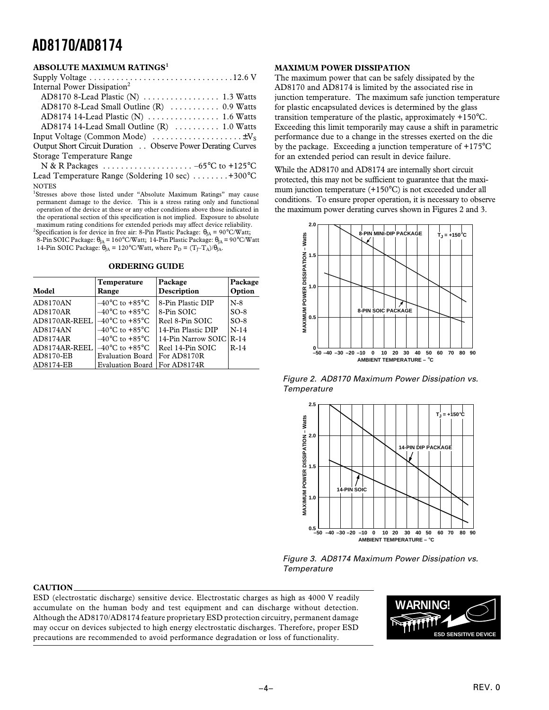#### **ABSOLUTE MAXIMUM RATINGS<sup>1</sup>**

| Internal Power Dissipation <sup>2</sup>                                     |
|-----------------------------------------------------------------------------|
|                                                                             |
| AD8170 8-Lead Small Outline (R)  0.9 Watts                                  |
| AD8174 14-Lead Plastic (N)  1.6 Watts                                       |
| AD8174 14-Lead Small Outline (R)  1.0 Watts                                 |
|                                                                             |
| Output Short Circuit Duration Observe Power Derating Curves                 |
| Storage Temperature Range                                                   |
| N & R Packages $\ldots \ldots \ldots \ldots \ldots \ldots -65$ °C to +125°C |
| Lead Temperature Range (Soldering 10 sec) +300°C                            |
| <b>NOTES</b>                                                                |

<sup>1</sup>Stresses above those listed under "Absolute Maximum Ratings" may cause permanent damage to the device. This is a stress rating only and functional operation of the device at these or any other conditions above those indicated in the operational section of this specification is not implied. Exposure to absolute maximum rating conditions for extended periods may affect device reliability.

<sup>2</sup>Specification is for device in free air: 8-Pin Plastic Package:  $\theta_{JA} = 90^{\circ}C/W$ att; 8-Pin SOIC Package:  $\theta_{JA} = 160^{\circ}$ C/Watt; 14-Pin Plastic Package:  $\theta_{JA} = 90^{\circ}$ C/Watt 14-Pin SOIC Package:  $\theta_{IA} = 120^{\circ}$ C/Watt, where  $P_D = (T_T - T_A)/\theta_{IA}$ .

| <b>ORDERING GUIDE</b> |  |
|-----------------------|--|
|                       |  |

| Model         | Temperature<br>Range                | Package<br>Description | Package<br>Option |
|---------------|-------------------------------------|------------------------|-------------------|
| AD8170AN      | $-40^{\circ}$ C to +85 $^{\circ}$ C | 8-Pin Plastic DIP      | $N-8$             |
| AD8170AR      | $-40^{\circ}$ C to $+85^{\circ}$ C  | 8-Pin SOIC             | $SO-8$            |
| AD8170AR-REEL | $-40^{\circ}$ C to $+85^{\circ}$ C  | Reel 8-Pin SOIC        | $SO-8$            |
| AD8174AN      | $-40^{\circ}$ C to $+85^{\circ}$ C  | 14-Pin Plastic DIP     | $N-14$            |
| AD8174AR      | $-40^{\circ}$ C to $+85^{\circ}$ C  | 14-Pin Narrow SOIC     | $R-14$            |
| AD8174AR-REEL | $-40^{\circ}$ C to $+85^{\circ}$ C  | Reel 14-Pin SOIC       | $R-14$            |
| AD8170-EB     | Evaluation Board                    | For AD8170R            |                   |
| AD8174-EB     | Evaluation Board                    | For AD8174R            |                   |

#### **MAXIMUM POWER DISSIPATION**

The maximum power that can be safely dissipated by the AD8170 and AD8174 is limited by the associated rise in junction temperature. The maximum safe junction temperature for plastic encapsulated devices is determined by the glass transition temperature of the plastic, approximately +150°C. Exceeding this limit temporarily may cause a shift in parametric performance due to a change in the stresses exerted on the die by the package. Exceeding a junction temperature of +175°C for an extended period can result in device failure.

While the AD8170 and AD8174 are internally short circuit protected, this may not be sufficient to guarantee that the maximum junction temperature (+150°C) is not exceeded under all conditions. To ensure proper operation, it is necessary to observe the maximum power derating curves shown in Figures 2 and 3.



Figure 2. AD8170 Maximum Power Dissipation vs. **Temperature** 



Figure 3. AD8174 Maximum Power Dissipation vs. **Temperature** 

#### **CAUTION**

ESD (electrostatic discharge) sensitive device. Electrostatic charges as high as 4000 V readily accumulate on the human body and test equipment and can discharge without detection. Although the AD8170/AD8174 feature proprietary ESD protection circuitry, permanent damage may occur on devices subjected to high energy electrostatic discharges. Therefore, proper ESD precautions are recommended to avoid performance degradation or loss of functionality.

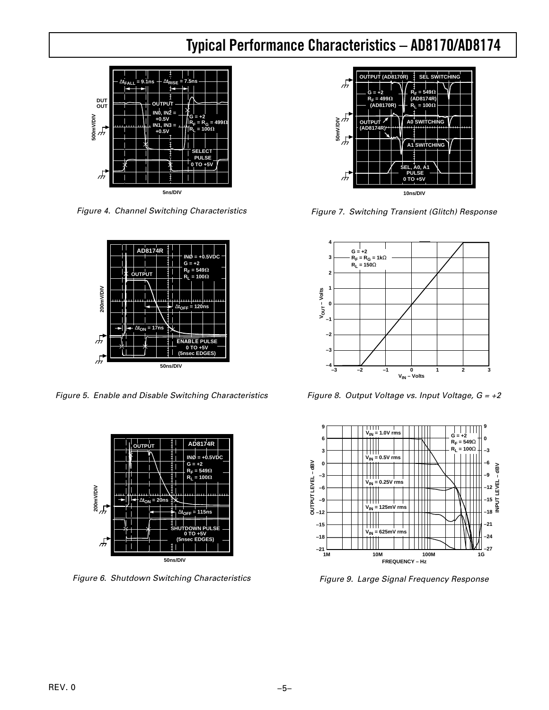# **Typical Performance Characteristics – AD8170/AD8174**



Figure 4. Channel Switching Characteristics



Figure 5. Enable and Disable Switching Characteristics



Figure 6. Shutdown Switching Characteristics



Figure 7. Switching Transient (Glitch) Response



Figure 8. Output Voltage vs. Input Voltage,  $G = +2$ 



Figure 9. Large Signal Frequency Response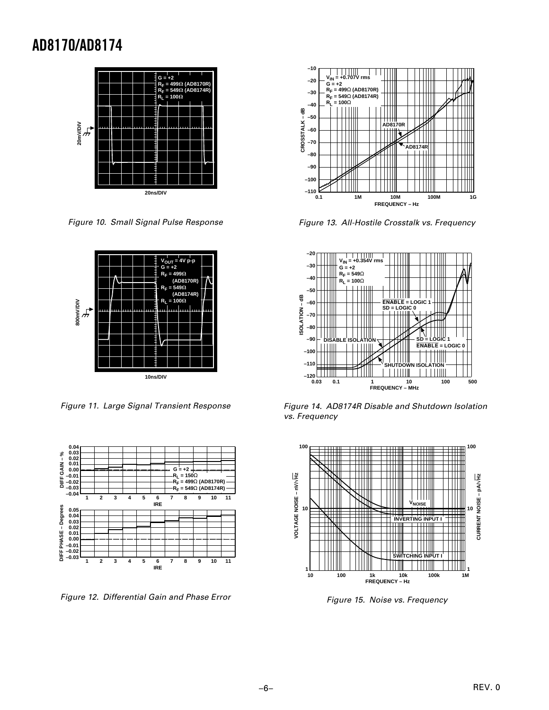

Figure 10. Small Signal Pulse Response



Figure 11. Large Signal Transient Response



Figure 12. Differential Gain and Phase Error



Figure 13. All-Hostile Crosstalk vs. Frequency



Figure 14. AD8174R Disable and Shutdown Isolation vs. Frequency



Figure 15. Noise vs. Frequency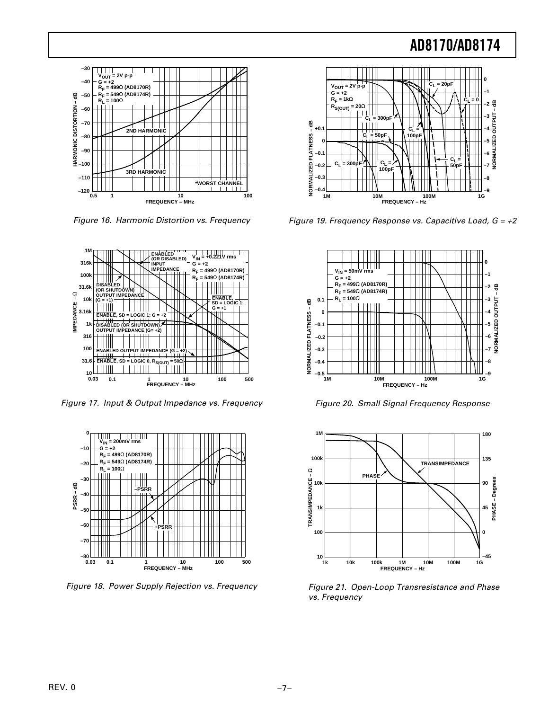

Figure 16. Harmonic Distortion vs. Frequency



Figure 17. Input & Output Impedance vs. Frequency



Figure 18. Power Supply Rejection vs. Frequency



Figure 19. Frequency Response vs. Capacitive Load,  $G = +2$ 



Figure 20. Small Signal Frequency Response



Figure 21. Open-Loop Transresistance and Phase vs. Frequency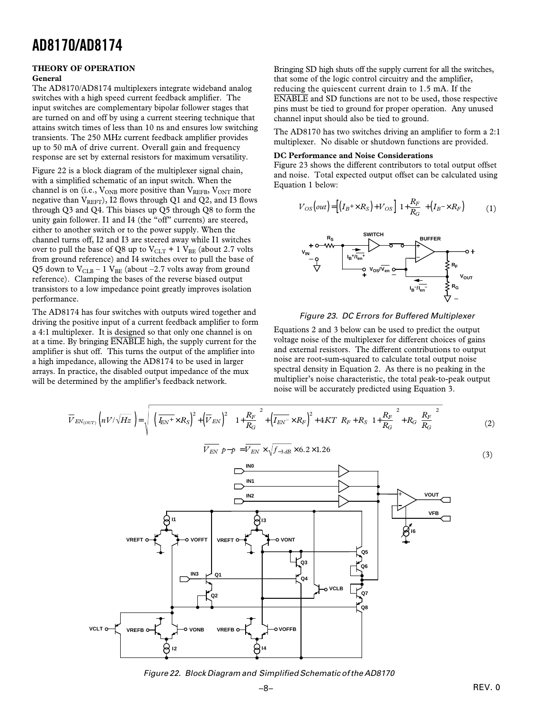#### **THEORY OF OPERATION General**

The AD8170/AD8174 multiplexers integrate wideband analog switches with a high speed current feedback amplifier. The input switches are complementary bipolar follower stages that are turned on and off by using a current steering technique that attains switch times of less than 10 ns and ensures low switching transients. The 250 MHz current feedback amplifier provides up to 50 mA of drive current. Overall gain and frequency response are set by external resistors for maximum versatility.

Figure 22 is a block diagram of the multiplexer signal chain, with a simplified schematic of an input switch. When the channel is on (i.e.,  $V_{ONB}$  more positive than  $V_{REFB}$ ,  $V_{ONT}$  more negative than  $V_{REFT}$ ), I2 flows through Q1 and Q2, and I3 flows through Q3 and Q4. This biases up Q5 through Q8 to form the unity gain follower. I1 and I4 (the "off" currents) are steered, either to another switch or to the power supply. When the channel turns off, I2 and I3 are steered away while I1 switches over to pull the base of Q8 up to  $V_{CLT}$  + 1  $V_{BE}$  (about 2.7 volts from ground reference) and I4 switches over to pull the base of Q5 down to  $V_{CLB}$  – 1  $V_{BE}$  (about –2.7 volts away from ground reference). Clamping the bases of the reverse biased output transistors to a low impedance point greatly improves isolation performance.

The AD8174 has four switches with outputs wired together and driving the positive input of a current feedback amplifier to form a 4:1 multiplexer. It is designed so that only one channel is on at a time. By bringing ENABLE high, the supply current for the amplifier is shut off. This turns the output of the amplifier into a high impedance, allowing the AD8174 to be used in larger arrays. In practice, the disabled output impedance of the mux will be determined by the amplifier's feedback network.

Bringing SD high shuts off the supply current for all the switches, that some of the logic control circuitry and the amplifier, reducing the quiescent current drain to 1.5 mA. If the ENABLE and SD functions are not to be used, those respective pins must be tied to ground for proper operation. Any unused channel input should also be tied to ground.

The AD8170 has two switches driving an amplifier to form a 2:1 multiplexer. No disable or shutdown functions are provided.

#### **DC Performance and Noise Considerations**

Figure 23 shows the different contributors to total output offset and noise. Total expected output offset can be calculated using Equation 1 below:

$$
V_{OS}\left(\text{out}\right) = \left[\left(I_B + \times R_S\right) + V_{OS}\right] \left[1 + \frac{R_F}{R_G}\right] + \left(I_B - \times R_F\right) \tag{1}
$$





Equations 2 and 3 below can be used to predict the output voltage noise of the multiplexer for different choices of gains and external resistors. The different contributions to output noise are root-sum-squared to calculate total output noise spectral density in Equation 2. As there is no peaking in the multiplier's noise characteristic, the total peak-to-peak output noise will be accurately predicted using Equation 3.

$$
\overline{V}_{EN_{(OUT)}}\left(nV/\sqrt{Hz}\right) = \sqrt{\left[\left(\overline{I_{EN}^+} \times R_S\right)^2 + \left(\overline{V}_{EN}\right)^2\right]\left[1 + \frac{R_F}{R_G}\right]^2 + \left(\overline{I_{EN}^-} \times R_F\right)^2 + 4KT\left[R_F + R_S\left[1 + \frac{R_F}{R_G}\right]^2 + R_G\left(\frac{R_F}{R_G}\right)^2\right]}\tag{2}
$$



Figure 22. Block Diagram and Simplified Schematic of the AD8170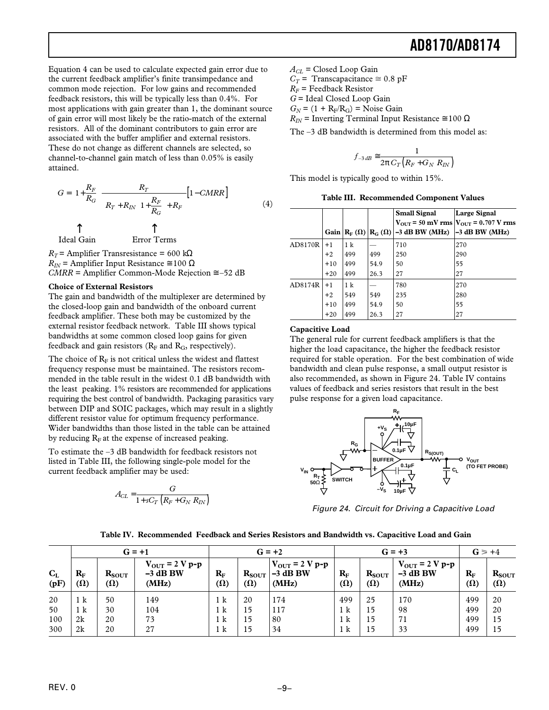Equation 4 can be used to calculate expected gain error due to the current feedback amplifier's finite transimpedance and common mode rejection. For low gains and recommended feedback resistors, this will be typically less than 0.4%. For most applications with gain greater than 1, the dominant source of gain error will most likely be the ratio-match of the external resistors. All of the dominant contributors to gain error are associated with the buffer amplifier and external resistors. These do not change as different channels are selected, so channel-to-channel gain match of less than 0.05% is easily attained.

$$
G = \left[1 + \frac{R_F}{R_G}\right] \frac{R_T}{\left[R_T + R_{IN}\left[1 + \frac{R_F}{R_G}\right] + R_F\right]} \left[1 - CMRR\right]
$$
(4)

Ideal Gain Error Terms

 $R_T$  = Amplifier Transresistance = 600 kΩ  $R_{IN}$  = Amplifier Input Resistance  $\approx 100 \Omega$ *CMRR* = Amplifier Common-Mode Rejection  $\approx -52$  dB

#### **Choice of External Resistors**

The gain and bandwidth of the multiplexer are determined by the closed-loop gain and bandwidth of the onboard current feedback amplifier. These both may be customized by the external resistor feedback network. Table III shows typical bandwidths at some common closed loop gains for given feedback and gain resistors ( $R_F$  and  $R_G$ , respectively).

The choice of  $R_F$  is not critical unless the widest and flattest frequency response must be maintained. The resistors recommended in the table result in the widest 0.1 dB bandwidth with the least peaking. 1% resistors are recommended for applications requiring the best control of bandwidth. Packaging parasitics vary between DIP and SOIC packages, which may result in a slightly different resistor value for optimum frequency performance. Wider bandwidths than those listed in the table can be attained by reducing  $R_F$  at the expense of increased peaking.

To estimate the –3 dB bandwidth for feedback resistors not listed in Table III, the following single-pole model for the current feedback amplifier may be used:

$$
A_{CL} = \frac{G}{1 + sC_T \left(R_F + G_N R_{IN}\right)}
$$

*ACL =* Closed Loop Gain

 $C_T$  = Transcapacitance  $\approx 0.8$  pF

 $R_F$  = Feedback Resistor

*G* = Ideal Closed Loop Gain

 $G_N = (1 + R_F/R_G) = \text{Noise Gain}$ 

 $R_{IN}$  = Inverting Terminal Input Resistance  $\approx 100 \Omega$ 

The –3 dB bandwidth is determined from this model as:

$$
f_{-3\,dB} \cong \frac{1}{2\pi\,C_T\left(R_F + G_N\,R_{IN}\right)}
$$

This model is typically good to within 15%.

**Table III. Recommended Component Values**

|         |       |     |      | <b>Small Signal</b>                                              | <b>Large Signal</b>                                         |
|---------|-------|-----|------|------------------------------------------------------------------|-------------------------------------------------------------|
|         |       |     |      |                                                                  | $V_{\text{OUT}}$ = 50 mV rms $V_{\text{OUT}}$ = 0.707 V rms |
|         |       |     |      | Gain $ R_F(\Omega) R_G(\Omega) -3$ dB BW (MHz) $ -3$ dB BW (MHz) |                                                             |
| AD8170R | $+1$  | 1 k |      | 710                                                              | 270                                                         |
|         | $+2$  | 499 | 499  | 250                                                              | 290                                                         |
|         | $+10$ | 499 | 54.9 | 50                                                               | 55                                                          |
|         | $+20$ | 499 | 26.3 | 27                                                               | 27                                                          |
| AD8174R | $+1$  | 1 k |      | 780                                                              | 270                                                         |
|         | $+2$  | 549 | 549  | 235                                                              | 280                                                         |
|         | $+10$ | 499 | 54.9 | 50                                                               | 55                                                          |
|         | $+20$ | 499 | 26.3 | 27                                                               | 27                                                          |

#### **Capacitive Load**

The general rule for current feedback amplifiers is that the higher the load capacitance, the higher the feedback resistor required for stable operation. For the best combination of wide bandwidth and clean pulse response, a small output resistor is also recommended, as shown in Figure 24. Table IV contains values of feedback and series resistors that result in the best pulse response for a given load capacitance.



Figure 24. Circuit for Driving a Capacitive Load

|  | Table IV.  Recommended  Feedback and Series Resistors and Bandwidth vs. Capacitive Load and Gain |  |  |  |  |
|--|--------------------------------------------------------------------------------------------------|--|--|--|--|
|--|--------------------------------------------------------------------------------------------------|--|--|--|--|

|                 | $G = +1$                  |                          |                                                     | $G = +2$                  |            |                                                            | $G = +3$                  |                          |                                                   | $G \geq 0.4$              |                          |
|-----------------|---------------------------|--------------------------|-----------------------------------------------------|---------------------------|------------|------------------------------------------------------------|---------------------------|--------------------------|---------------------------------------------------|---------------------------|--------------------------|
| $C_{L}$<br>(pF) | $R_{\rm F}$<br>$(\Omega)$ | $R_{SOUT}$<br>$(\Omega)$ | $V_{\text{OUT}} = 2 V p - p$<br>$-3$ dB BW<br>(MHz) | $R_{\rm F}$<br>$(\Omega)$ | $(\Omega)$ | $V_{\text{OUT}}$ = 2 V p-p<br>$R_{SOUT}$ -3 dB BW<br>(MHz) | $R_{\rm F}$<br>$(\Omega)$ | $R_{SOUT}$<br>$(\Omega)$ | $V_{\text{OUT}}$ = 2 V p-p<br>$-3$ dB BW<br>(MHz) | $R_{\rm F}$<br>$(\Omega)$ | $R_{SOUT}$<br>$(\Omega)$ |
| 20              | 1 k                       | 50                       | 149                                                 | 1 <sup>k</sup>            | 20         | 174                                                        | 499                       | 25                       | 170                                               | 499                       | 20                       |
| 50              | 1 k                       | 30                       | 104                                                 | 1 <sup>k</sup>            | 15         | 117                                                        | 1 k                       | 15                       | 98                                                | 499                       | 20                       |
| 100             | 2k                        | 20                       | 73                                                  | 1 <sup>k</sup>            | 15         | 80                                                         | 1 k                       | 15                       | 71                                                | 499                       | 15                       |
| 300             | 2k                        | 20                       | 27                                                  | 1 k                       | 15         | 34                                                         | 1 k                       | 15                       | 33                                                | 499                       | 15                       |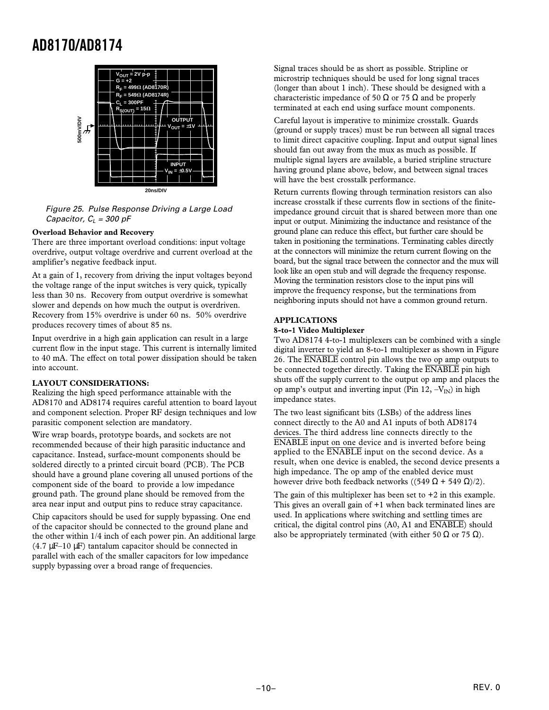

Figure 25. Pulse Response Driving a Large Load Capacitor,  $C_1 = 300$  pF

#### **Overload Behavior and Recovery**

There are three important overload conditions: input voltage overdrive, output voltage overdrive and current overload at the amplifier's negative feedback input.

At a gain of 1, recovery from driving the input voltages beyond the voltage range of the input switches is very quick, typically less than 30 ns. Recovery from output overdrive is somewhat slower and depends on how much the output is overdriven. Recovery from 15% overdrive is under 60 ns. 50% overdrive produces recovery times of about 85 ns.

Input overdrive in a high gain application can result in a large current flow in the input stage. This current is internally limited to 40 mA. The effect on total power dissipation should be taken into account.

#### **LAYOUT CONSIDERATIONS:**

Realizing the high speed performance attainable with the AD8170 and AD8174 requires careful attention to board layout and component selection. Proper RF design techniques and low parasitic component selection are mandatory.

Wire wrap boards, prototype boards, and sockets are not recommended because of their high parasitic inductance and capacitance. Instead, surface-mount components should be soldered directly to a printed circuit board (PCB). The PCB should have a ground plane covering all unused portions of the component side of the board to provide a low impedance ground path. The ground plane should be removed from the area near input and output pins to reduce stray capacitance.

Chip capacitors should be used for supply bypassing. One end of the capacitor should be connected to the ground plane and the other within 1/4 inch of each power pin. An additional large  $(4.7 \mu F-10 \mu F)$  tantalum capacitor should be connected in parallel with each of the smaller capacitors for low impedance supply bypassing over a broad range of frequencies.

Signal traces should be as short as possible. Stripline or microstrip techniques should be used for long signal traces (longer than about 1 inch). These should be designed with a characteristic impedance of 50  $\Omega$  or 75  $\Omega$  and be properly terminated at each end using surface mount components.

Careful layout is imperative to minimize crosstalk. Guards (ground or supply traces) must be run between all signal traces to limit direct capacitive coupling. Input and output signal lines should fan out away from the mux as much as possible. If multiple signal layers are available, a buried stripline structure having ground plane above, below, and between signal traces will have the best crosstalk performance.

Return currents flowing through termination resistors can also increase crosstalk if these currents flow in sections of the finiteimpedance ground circuit that is shared between more than one input or output. Minimizing the inductance and resistance of the ground plane can reduce this effect, but further care should be taken in positioning the terminations. Terminating cables directly at the connectors will minimize the return current flowing on the board, but the signal trace between the connector and the mux will look like an open stub and will degrade the frequency response. Moving the termination resistors close to the input pins will improve the frequency response, but the terminations from neighboring inputs should not have a common ground return.

#### **APPLICATIONS**

#### **8-to-1 Video Multiplexer**

Two AD8174 4-to-1 multiplexers can be combined with a single digital inverter to yield an 8-to-1 multiplexer as shown in Figure 26. The  $\overline{ENABLE}$  control pin allows the two op amp outputs to be connected together directly. Taking the ENABLE pin high shuts off the supply current to the output op amp and places the op amp's output and inverting input (Pin 12,  $-V_{\text{IN}}$ ) in high impedance states.

The two least significant bits (LSBs) of the address lines connect directly to the A0 and A1 inputs of both AD8174 devices. The third address line connects directly to the ENABLE input on one device and is inverted before being applied to the ENABLE input on the second device. As a result, when one device is enabled, the second device presents a high impedance. The op amp of the enabled device must however drive both feedback networks ((549 Ω + 549 Ω)/2).

The gain of this multiplexer has been set to  $+2$  in this example. This gives an overall gain of +1 when back terminated lines are used. In applications where switching and settling times are critical, the digital control pins  $(A0, A1$  and  $\overline{ENABLE}$ ) should also be appropriately terminated (with either 50  $\Omega$  or 75  $\Omega$ ).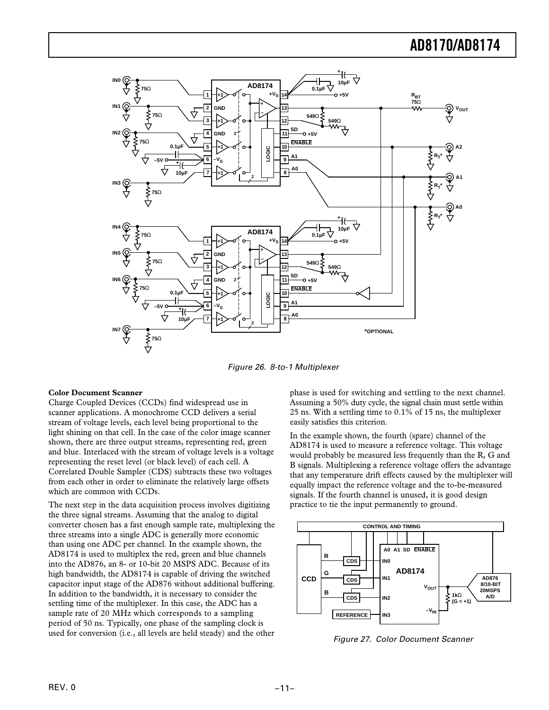

Figure 26. 8-to-1 Multiplexer

#### **Color Document Scanner**

Charge Coupled Devices (CCDs) find widespread use in scanner applications. A monochrome CCD delivers a serial stream of voltage levels, each level being proportional to the light shining on that cell. In the case of the color image scanner shown, there are three output streams, representing red, green and blue. Interlaced with the stream of voltage levels is a voltage representing the reset level (or black level) of each cell. A Correlated Double Sampler (CDS) subtracts these two voltages from each other in order to eliminate the relatively large offsets which are common with CCDs.

The next step in the data acquisition process involves digitizing the three signal streams. Assuming that the analog to digital converter chosen has a fast enough sample rate, multiplexing the three streams into a single ADC is generally more economic than using one ADC per channel. In the example shown, the AD8174 is used to multiplex the red, green and blue channels into the AD876, an 8- or 10-bit 20 MSPS ADC. Because of its high bandwidth, the AD8174 is capable of driving the switched capacitor input stage of the AD876 without additional buffering. In addition to the bandwidth, it is necessary to consider the settling time of the multiplexer. In this case, the ADC has a sample rate of 20 MHz which corresponds to a sampling period of 50 ns. Typically, one phase of the sampling clock is used for conversion (i.e., all levels are held steady) and the other

phase is used for switching and settling to the next channel. Assuming a 50% duty cycle, the signal chain must settle within 25 ns. With a settling time to 0.1% of 15 ns, the multiplexer easily satisfies this criterion.

In the example shown, the fourth (spare) channel of the AD8174 is used to measure a reference voltage. This voltage would probably be measured less frequently than the R, G and B signals. Multiplexing a reference voltage offers the advantage that any temperature drift effects caused by the multiplexer will equally impact the reference voltage and the to-be-measured signals. If the fourth channel is unused, it is good design practice to tie the input permanently to ground.



Figure 27. Color Document Scanner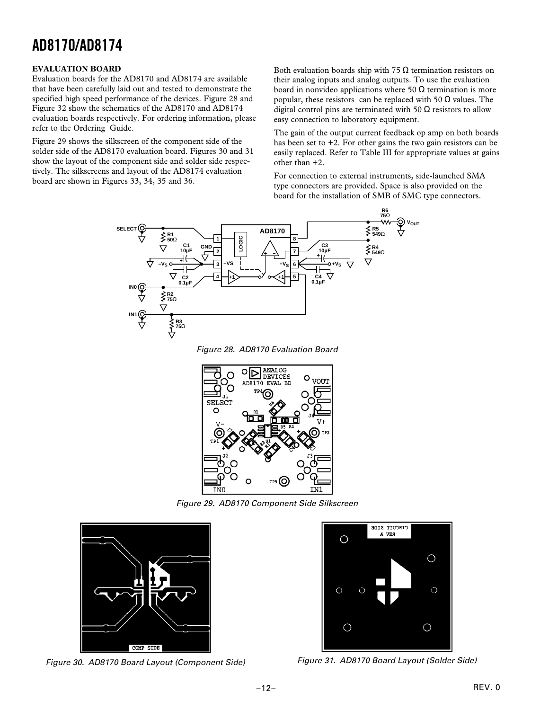#### **EVALUATION BOARD**

Evaluation boards for the AD8170 and AD8174 are available that have been carefully laid out and tested to demonstrate the specified high speed performance of the devices. Figure 28 and Figure 32 show the schematics of the AD8170 and AD8174 evaluation boards respectively. For ordering information, please refer to the Ordering Guide.

Figure 29 shows the silkscreen of the component side of the solder side of the AD8170 evaluation board. Figures 30 and 31 show the layout of the component side and solder side respectively. The silkscreens and layout of the AD8174 evaluation board are shown in Figures 33, 34, 35 and 36.

Both evaluation boards ship with 75  $\Omega$  termination resistors on their analog inputs and analog outputs. To use the evaluation board in nonvideo applications where 50  $\Omega$  termination is more popular, these resistors can be replaced with 50  $\Omega$  values. The digital control pins are terminated with 50  $\Omega$  resistors to allow easy connection to laboratory equipment.

The gain of the output current feedback op amp on both boards has been set to  $+2$ . For other gains the two gain resistors can be easily replaced. Refer to Table III for appropriate values at gains other than +2.

For connection to external instruments, side-launched SMA type connectors are provided. Space is also provided on the board for the installation of SMB of SMC type connectors.



Figure 28. AD8170 Evaluation Board



Figure 29. AD8170 Component Side Silkscreen



Figure 30. AD8170 Board Layout (Component Side) Figure 31. AD8170 Board Layout (Solder Side)

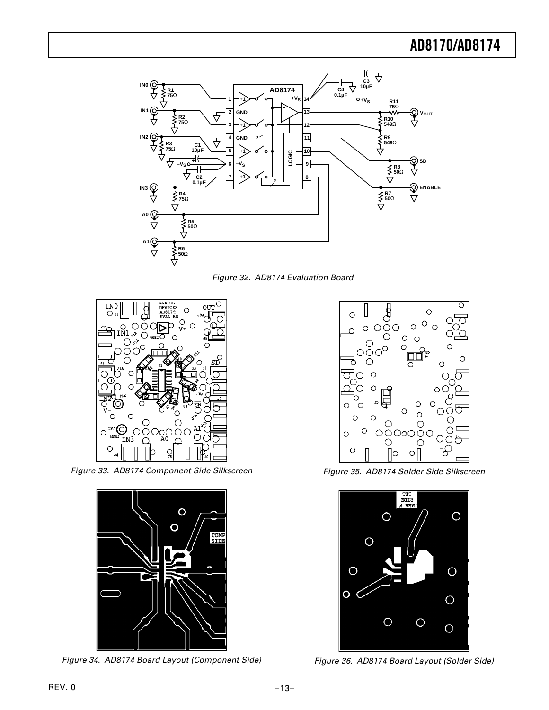

Figure 32. AD8174 Evaluation Board



Figure 33. AD8174 Component Side Silkscreen



Figure 34. AD8174 Board Layout (Component Side)



Figure 35. AD8174 Solder Side Silkscreen



Figure 36. AD8174 Board Layout (Solder Side)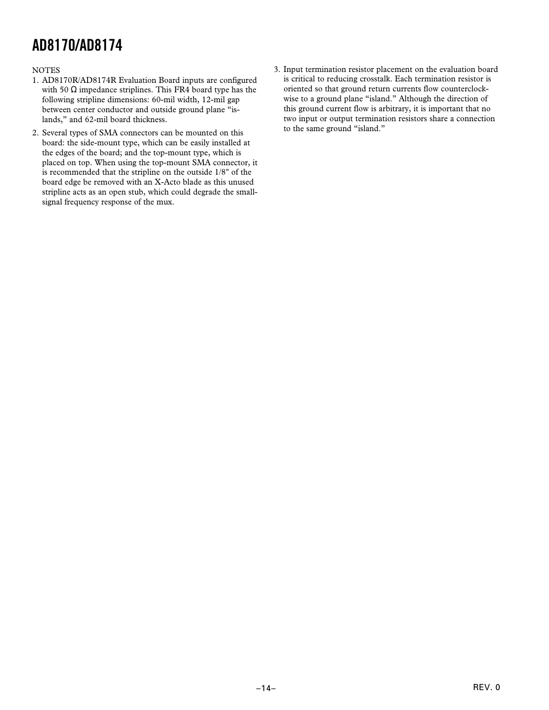#### **NOTES**

- 1. AD8170R/AD8174R Evaluation Board inputs are configured with 50  $\Omega$  impedance striplines. This FR4 board type has the following stripline dimensions: 60-mil width, 12-mil gap between center conductor and outside ground plane "islands," and 62-mil board thickness.
- 2. Several types of SMA connectors can be mounted on this board: the side-mount type, which can be easily installed at the edges of the board; and the top-mount type, which is placed on top. When using the top-mount SMA connector, it is recommended that the stripline on the outside 1/8" of the board edge be removed with an X-Acto blade as this unused stripline acts as an open stub, which could degrade the smallsignal frequency response of the mux.
- 3. Input termination resistor placement on the evaluation board is critical to reducing crosstalk. Each termination resistor is oriented so that ground return currents flow counterclockwise to a ground plane "island." Although the direction of this ground current flow is arbitrary, it is important that no two input or output termination resistors share a connection to the same ground "island."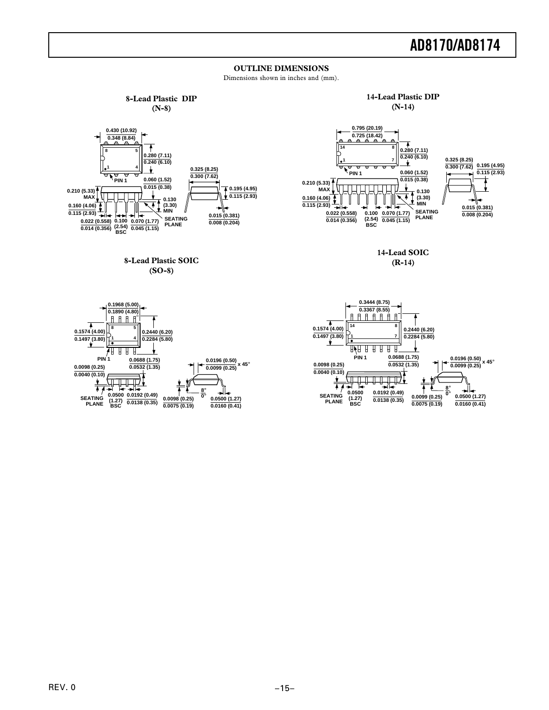#### **OUTLINE DIMENSIONS**

Dimensions shown in inches and (mm).



**PLANE**

**(1.27) BSC**

**0.0138 (0.35)**

**0.0075 (0.19)**

**0.0160 (0.41)**